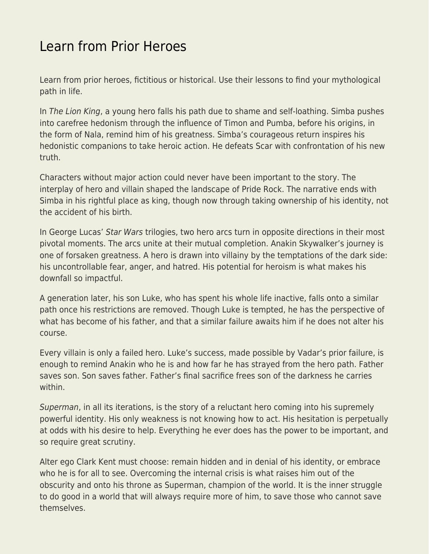## [Learn from Prior Heroes](https://everything-voluntary.com/learn-prior-heroes)

Learn from prior heroes, fictitious or historical. Use their lessons to find your mythological path in life.

In The Lion King, a young hero falls his path due to shame and self-loathing. Simba pushes into carefree hedonism through the influence of Timon and Pumba, before his origins, in the form of Nala, remind him of his greatness. Simba's courageous return inspires his hedonistic companions to take heroic action. He defeats Scar with confrontation of his new truth.

Characters without major action could never have been important to the story. The interplay of hero and villain shaped the landscape of Pride Rock. The narrative ends with Simba in his rightful place as king, though now through taking ownership of his identity, not the accident of his birth.

In George Lucas' Star Wars trilogies, two hero arcs turn in opposite directions in their most pivotal moments. The arcs unite at their mutual completion. Anakin Skywalker's journey is one of forsaken greatness. A hero is drawn into villainy by the temptations of the dark side: his uncontrollable fear, anger, and hatred. His potential for heroism is what makes his downfall so impactful.

A generation later, his son Luke, who has spent his whole life inactive, falls onto a similar path once his restrictions are removed. Though Luke is tempted, he has the perspective of what has become of his father, and that a similar failure awaits him if he does not alter his course.

Every villain is only a failed hero. Luke's success, made possible by Vadar's prior failure, is enough to remind Anakin who he is and how far he has strayed from the hero path. Father saves son. Son saves father. Father's final sacrifice frees son of the darkness he carries within.

Superman, in all its iterations, is the story of a reluctant hero coming into his supremely powerful identity. His only weakness is not knowing how to act. His hesitation is perpetually at odds with his desire to help. Everything he ever does has the power to be important, and so require great scrutiny.

Alter ego Clark Kent must choose: remain hidden and in denial of his identity, or embrace who he is for all to see. Overcoming the internal crisis is what raises him out of the obscurity and onto his throne as Superman, champion of the world. It is the inner struggle to do good in a world that will always require more of him, to save those who cannot save themselves.